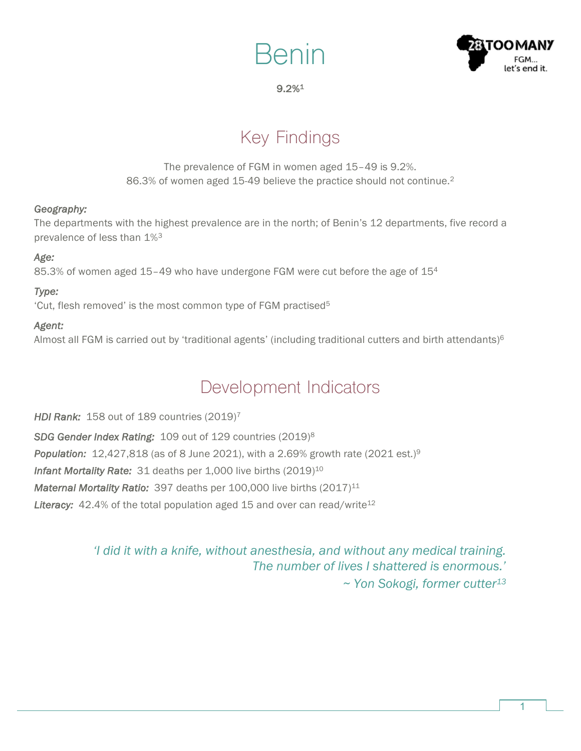



### 9.2%1

# Key Findings

The prevalence of FGM in women aged 15–49 is 9.2%. 86.3% of women aged 15-49 believe the practice should not continue.<sup>2</sup>

#### *Geography:*

The departments with the highest prevalence are in the north; of Benin's 12 departments, five record a prevalence of less than 1%3

### *Age:*

85.3% of women aged  $15-49$  who have undergone FGM were cut before the age of  $15<sup>4</sup>$ 

## *Type:*

'Cut, flesh removed' is the most common type of FGM practised5

## *Agent:*

Almost all FGM is carried out by 'traditional agents' (including traditional cutters and birth attendants) $6$ 

## Development Indicators

*HDI Rank:* 158 out of 189 countries (2019)7 *SDG Gender Index Rating:* 109 out of 129 countries (2019)8 **Population:** 12,427,818 (as of 8 June 2021), with a 2.69% growth rate (2021 est.)<sup>9</sup> **Infant Mortality Rate:** 31 deaths per 1,000 live births (2019)<sup>10</sup> *Maternal Mortality Ratio:* 397 deaths per 100,000 live births (2017)<sup>11</sup> Literacy: 42.4% of the total population aged 15 and over can read/write<sup>12</sup>

> *'I did it with a knife, without anesthesia, and without any medical training. The number of lives I shattered is enormous.' ~ Yon Sokogi, former cutter13*

> > 1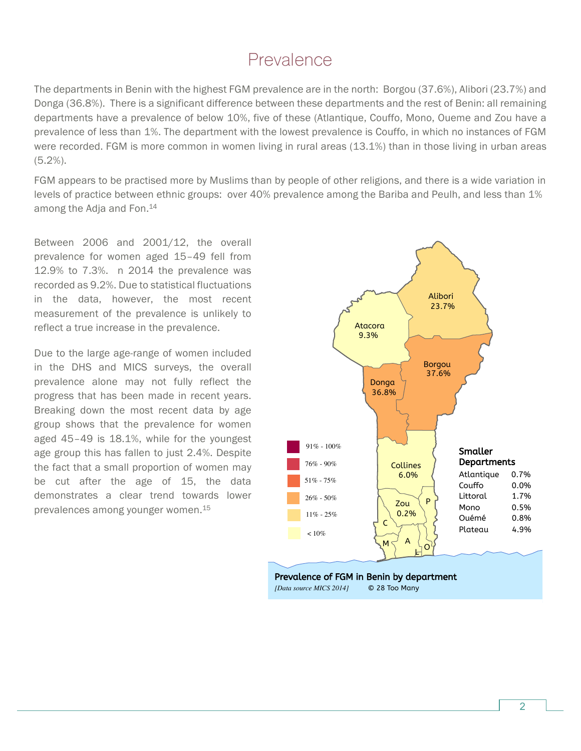## Prevalence

The departments in Benin with the highest FGM prevalence are in the north: Borgou (37.6%), Alibori (23.7%) and Donga (36.8%). There is a significant difference between these departments and the rest of Benin: all remaining departments have a prevalence of below 10%, five of these (Atlantique, Couffo, Mono, Oueme and Zou have a prevalence of less than 1%. The department with the lowest prevalence is Couffo, in which no instances of FGM were recorded. FGM is more common in women living in rural areas (13.1%) than in those living in urban areas (5.2%).

FGM appears to be practised more by Muslims than by people of other religions, and there is a wide variation in levels of practice between ethnic groups: over 40% prevalence among the Bariba and Peulh, and less than 1% among the Adja and Fon.14

Between 2006 and 2001/12, the overall prevalence for women aged 15–49 fell from 12.9% to 7.3%. n 2014 the prevalence was recorded as 9.2%. Due to statistical fluctuations in the data, however, the most recent measurement of the prevalence is unlikely to reflect a true increase in the prevalence.

Due to the large age-range of women included in the DHS and MICS surveys, the overall prevalence alone may not fully reflect the progress that has been made in recent years. Breaking down the most recent data by age group shows that the prevalence for women aged 45–49 is 18.1%, while for the youngest age group this has fallen to just 2.4%. Despite the fact that a small proportion of women may be cut after the age of 15, the data demonstrates a clear trend towards lower prevalences among younger women. 15

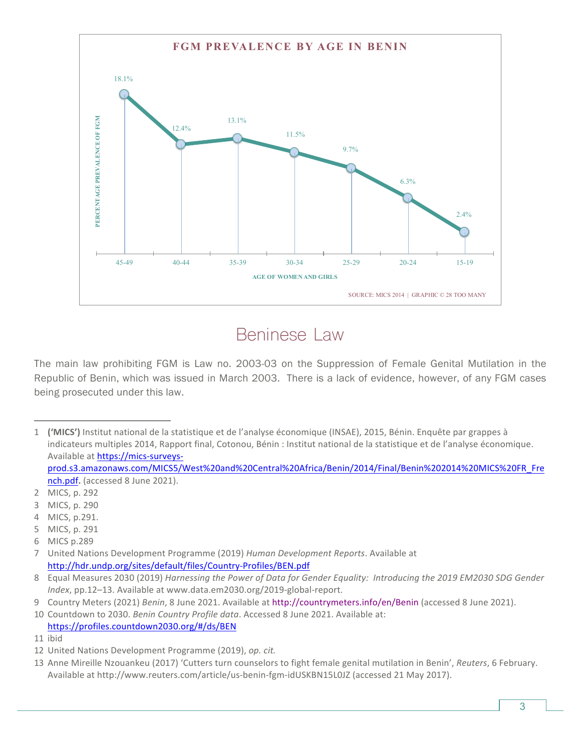

## Beninese Law

The main law prohibiting FGM is Law no. 2003-03 on the Suppression of Female Genital Mutilation in the Republic of Benin, which was issued in March 2003. There is a lack of evidence, however, of any FGM cases being prosecuted under this law.

1 ('MICS') Institut national de la statistique et de l'analyse économique (INSAE), 2015, Bénin. Enquête par grappes à indicateurs multiples 2014, Rapport final, Cotonou, Bénin : Institut national de la statistique et de l'analyse économique. Available at https://mics-surveysprod.s3.amazonaws.com/MICS5/West%20and%20Central%20Africa/Benin/2014/Final/Benin%202014%20MICS%20FR\_Fre

nch.pdf. (accessed 8 June 2021). 2 MICS, p. 292

3 MICS, p. 290

 $\overline{a}$ 

- 4 MICS, p.291.
- 5 MICS, p. 291
- 6 MICS p.289

7 United Nations Development Programme (2019) *Human Development Reports*. Available at http://hdr.undp.org/sites/default/files/Country-Profiles/BEN.pdf

8 Equal Measures 2030 (2019) Harnessing the Power of Data for Gender Equality: Introducing the 2019 EM2030 SDG Gender Index, pp.12-13. Available at www.data.em2030.org/2019-global-report.

9 Country Meters (2021) *Benin*, 8 June 2021. Available at http://countrymeters.info/en/Benin (accessed 8 June 2021).

10 Countdown to 2030. *Benin Country Profile data*. Accessed 8 June 2021. Available at: https://profiles.countdown2030.org/#/ds/BEN

<sup>11</sup> ibid

<sup>12</sup> United Nations Development Programme (2019), op. cit.

<sup>13</sup> Anne Mireille Nzouankeu (2017) 'Cutters turn counselors to fight female genital mutilation in Benin', Reuters, 6 February. Available at http://www.reuters.com/article/us-benin-fgm-idUSKBN15L0JZ (accessed 21 May 2017).